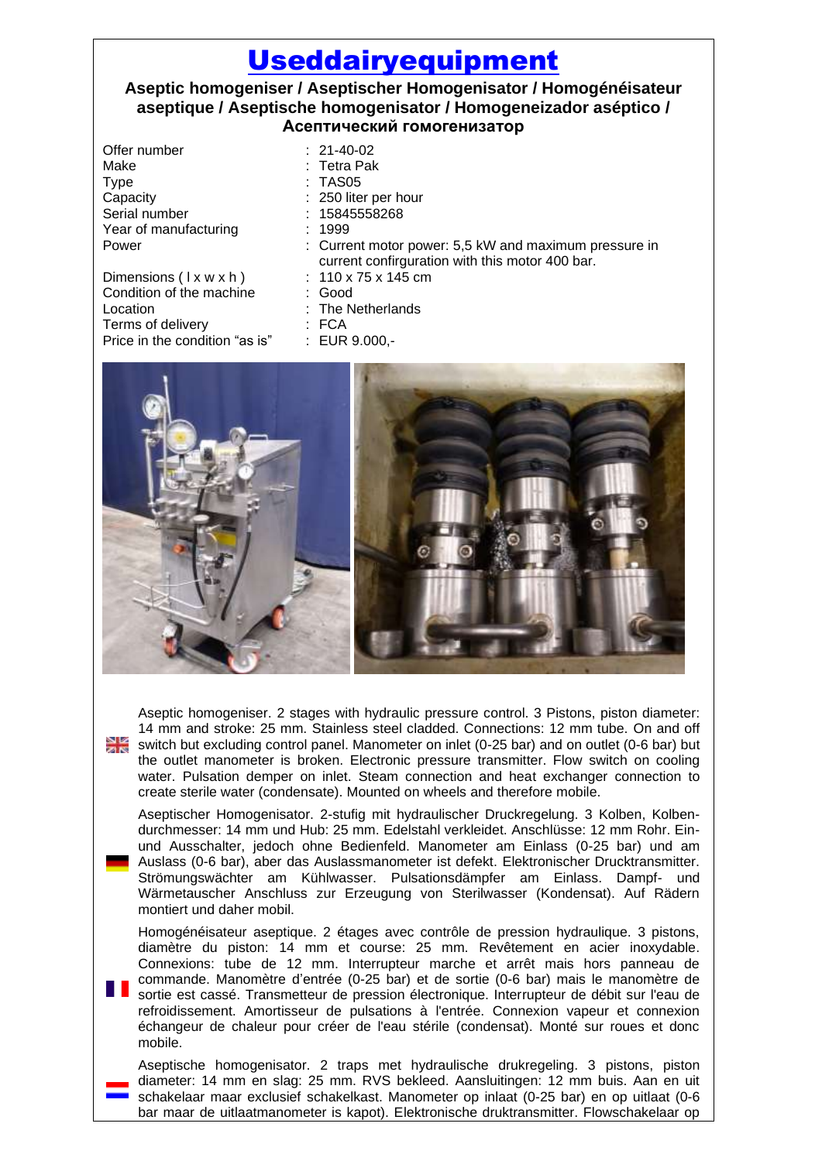## [Useddairyequipment](http://www.useddairyequipment.com/)

## **Aseptic homogeniser / Aseptischer Homogenisator / Homogénéisateur aseptique / Aseptische homogenisator / Homogeneizador aséptico / Асептический гомогенизатор**

Offer number : 21-40-02 Make : Tetra Pak Type : TAS05 Capacity : 250 liter per hour Serial number : 15845558268 Year of manufacturing : 1999

Dimensions  $(1 \times w \times h)$  : 110 x 75 x 145 cm<br>Condition of the machine : Good Condition of the machine Location : The Netherlands Terms of delivery : FCA<br>Price in the condition "as is" : EUR 9.000,-Price in the condition "as is"

- 
- 
- 
- 
- 
- Power : Current motor power: 5,5 kW and maximum pressure in current confirguration with this motor 400 bar.
	-
	-
	-
	-
	-



Aseptic homogeniser. 2 stages with hydraulic pressure control. 3 Pistons, piston diameter: 14 mm and stroke: 25 mm. Stainless steel cladded. Connections: 12 mm tube. On and off switch but excluding control panel. Manometer on inlet (0-25 bar) and on outlet (0-6 bar) but the outlet manometer is broken. Electronic pressure transmitter. Flow switch on cooling water. Pulsation demper on inlet. Steam connection and heat exchanger connection to create sterile water (condensate). Mounted on wheels and therefore mobile.

Aseptischer Homogenisator. 2-stufig mit hydraulischer Druckregelung. 3 Kolben, Kolbendurchmesser: 14 mm und Hub: 25 mm. Edelstahl verkleidet. Anschlüsse: 12 mm Rohr. Einund Ausschalter, jedoch ohne Bedienfeld. Manometer am Einlass (0-25 bar) und am Auslass (0-6 bar), aber das Auslassmanometer ist defekt. Elektronischer Drucktransmitter. Strömungswächter am Kühlwasser. Pulsationsdämpfer am Einlass. Dampf- und Wärmetauscher Anschluss zur Erzeugung von Sterilwasser (Kondensat). Auf Rädern montiert und daher mobil.

Homogénéisateur aseptique. 2 étages avec contrôle de pression hydraulique. 3 pistons, diamètre du piston: 14 mm et course: 25 mm. Revêtement en acier inoxydable. Connexions: tube de 12 mm. Interrupteur marche et arrêt mais hors panneau de commande. Manomètre d'entrée (0-25 bar) et de sortie (0-6 bar) mais le manomètre de sortie est cassé. Transmetteur de pression électronique. Interrupteur de débit sur l'eau de refroidissement. Amortisseur de pulsations à l'entrée. Connexion vapeur et connexion

échangeur de chaleur pour créer de l'eau stérile (condensat). Monté sur roues et donc mobile. Aseptische homogenisator. 2 traps met hydraulische drukregeling. 3 pistons, piston

diameter: 14 mm en slag: 25 mm. RVS bekleed. Aansluitingen: 12 mm buis. Aan en uit schakelaar maar exclusief schakelkast. Manometer op inlaat (0-25 bar) en op uitlaat (0-6 bar maar de uitlaatmanometer is kapot). Elektronische druktransmitter. Flowschakelaar op